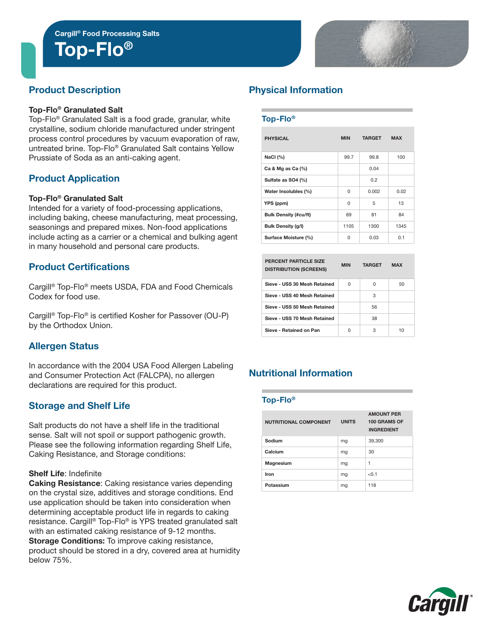

## Product Description

#### Top-Flo® Granulated Salt

Top-Flo® Granulated Salt is a food grade, granular, white crystalline, sodium chloride manufactured under stringent process control procedures by vacuum evaporation of raw, untreated brine. Top-Flo® Granulated Salt contains Yellow Prussiate of Soda as an anti-caking agent.

## Product Application

#### Top-Flo® Granulated Salt

Intended for a variety of food-processing applications, including baking, cheese manufacturing, meat processing, seasonings and prepared mixes. Non-food applications include acting as a carrier or a chemical and bulking agent in many household and personal care products.

## Product Certifications

Cargill® Top-Flo® meets USDA, FDA and Food Chemicals Codex for food use.

Cargill® Top-Flo® is certified Kosher for Passover (OU-P) by the Orthodox Union.

## Allergen Status

In accordance with the 2004 USA Food Allergen Labeling and Consumer Protection Act (FALCPA), no allergen declarations are required for this product.

## Storage and Shelf Life

Salt products do not have a shelf life in the traditional sense. Salt will not spoil or support pathogenic growth. Please see the following information regarding Shelf Life, Caking Resistance, and Storage conditions:

#### Shelf Life: Indefinite

Caking Resistance: Caking resistance varies depending on the crystal size, additives and storage conditions. End use application should be taken into consideration when determining acceptable product life in regards to caking resistance. Cargill® Top-Flo® is YPS treated granulated salt with an estimated caking resistance of 9-12 months. Storage Conditions: To improve caking resistance, product should be stored in a dry, covered area at humidity below 75%.

# Physical Information

#### Top-Flo®

| <b>PHYSICAL</b>              | <b>MIN</b> | <b>TARGET</b> | <b>MAX</b> |  |
|------------------------------|------------|---------------|------------|--|
| NaCl $(%)$                   | 99.7       | 99.8          | 100        |  |
| Ca & Mg as Ca $(%)$          |            | 0.04          |            |  |
| Sulfate as SO4 (%)           |            | 0.2           |            |  |
| Water Insolubles (%)         | $\Omega$   | 0.002         | 0.02       |  |
| YPS (ppm)                    | $\Omega$   | 5             | 13         |  |
| <b>Bulk Density (#cu/ft)</b> | 69         | 81            | 84         |  |
| Bulk Density (g/l)           | 1105       | 1300          | 1345       |  |
| Surface Moisture (%)         | 0          | 0.03          | 0.1        |  |

| PERCENT PARTICLE SIZE<br><b>DISTRIBUTION (SCREENS)</b> | <b>MIN</b> | <b>TARGET</b> | <b>MAX</b> |
|--------------------------------------------------------|------------|---------------|------------|
| Sieve - USS 30 Mesh Retained                           | U          | U             | 50         |
| Sieve - USS 40 Mesh Retained                           |            | З             |            |
| Sieve - USS 50 Mesh Retained                           |            | 56            |            |
| Sieve - USS 70 Mesh Retained                           |            | 38            |            |
| Sieve - Retained on Pan                                | U          | З             | 10         |

# Nutritional Information

#### Top-Flo®

| <b>NUTRITIONAL COMPONENT</b> | <b>UNITS</b> | <b>AMOUNT PER</b><br>100 GRAMS OF<br><b>INGREDIENT</b> |
|------------------------------|--------------|--------------------------------------------------------|
| Sodium                       | mg           | 39,300                                                 |
| Calcium                      | mq           | 30                                                     |
| Magnesium                    | mq           | 1                                                      |
| Iron                         | mq           | < 0.1                                                  |
| Potassium                    | mq           | 118                                                    |